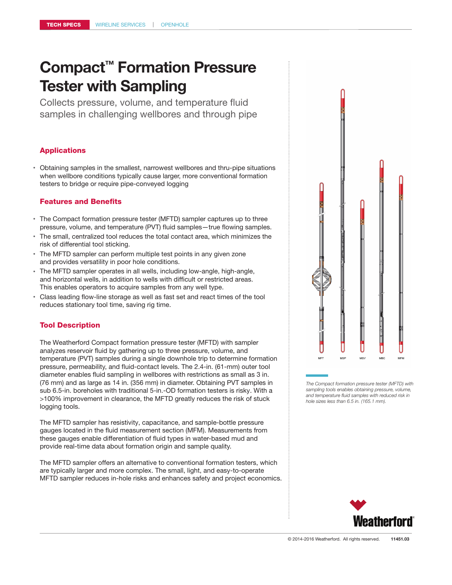Collects pressure, volume, and temperature fluid samples in challenging wellbores and through pipe

# Applications

• Obtaining samples in the smallest, narrowest wellbores and thru-pipe situations when wellbore conditions typically cause larger, more conventional formation testers to bridge or require pipe-conveyed logging

# Features and Benefits

- The Compact formation pressure tester (MFTD) sampler captures up to three pressure, volume, and temperature (PVT) fluid samples—true flowing samples.
- The small, centralized tool reduces the total contact area, which minimizes the risk of differential tool sticking.
- The MFTD sampler can perform multiple test points in any given zone and provides versatility in poor hole conditions.
- The MFTD sampler operates in all wells, including low-angle, high-angle, and horizontal wells, in addition to wells with difficult or restricted areas. This enables operators to acquire samples from any well type.
- Class leading flow-line storage as well as fast set and react times of the tool reduces stationary tool time, saving rig time.

# Tool Description

The Weatherford Compact formation pressure tester (MFTD) with sampler analyzes reservoir fluid by gathering up to three pressure, volume, and temperature (PVT) samples during a single downhole trip to determine formation pressure, permeability, and fluid-contact levels. The 2.4-in. (61-mm) outer tool diameter enables fluid sampling in wellbores with restrictions as small as 3 in. (76 mm) and as large as 14 in. (356 mm) in diameter. Obtaining PVT samples in sub 6.5-in. boreholes with traditional 5-in.-OD formation testers is risky. With a >100% improvement in clearance, the MFTD greatly reduces the risk of stuck logging tools.

The MFTD sampler has resistivity, capacitance, and sample-bottle pressure gauges located in the fluid measurement section (MFM). Measurements from these gauges enable differentiation of fluid types in water-based mud and provide real-time data about formation origin and sample quality.

The MFTD sampler offers an alternative to conventional formation testers, which are typically larger and more complex. The small, light, and easy-to-operate MFTD sampler reduces in-hole risks and enhances safety and project economics.

# **MET**  $MS$  $12M$  $\overline{\phantom{a}}$

*The Compact formation pressure tester (MFTD) with sampling tools enables obtaining pressure, volume, and temperature fluid samples with reduced risk in hole sizes less than 6.5 in. (165.1 mm).*